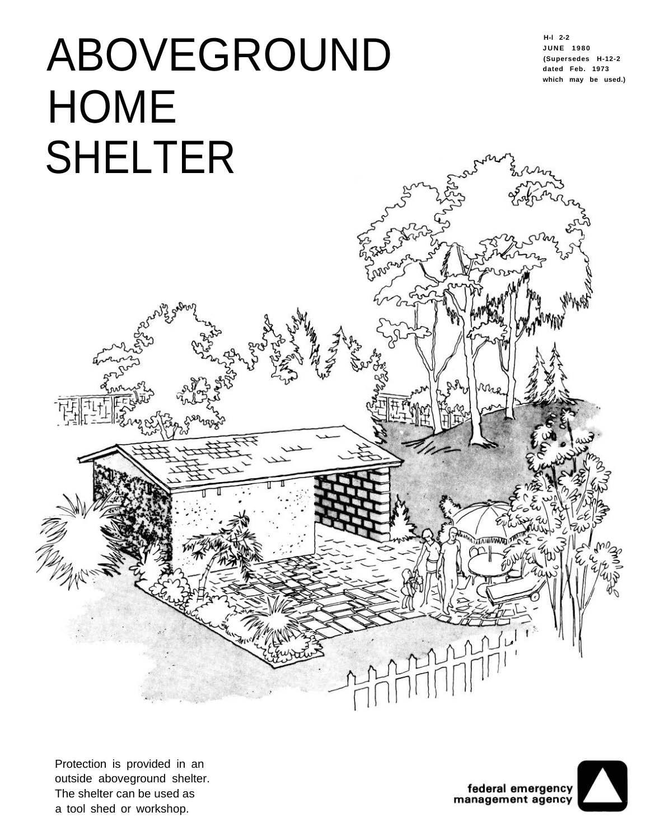# ABOVEGROUND **HOME** SHELTER

**H-l 2-2 JUNE 1980 (Supersedes H-12-2 dated Feb. 1973 which may be used.)**



Protection is provided in an outside aboveground shelter. The shelter can be used as a tool shed or workshop.

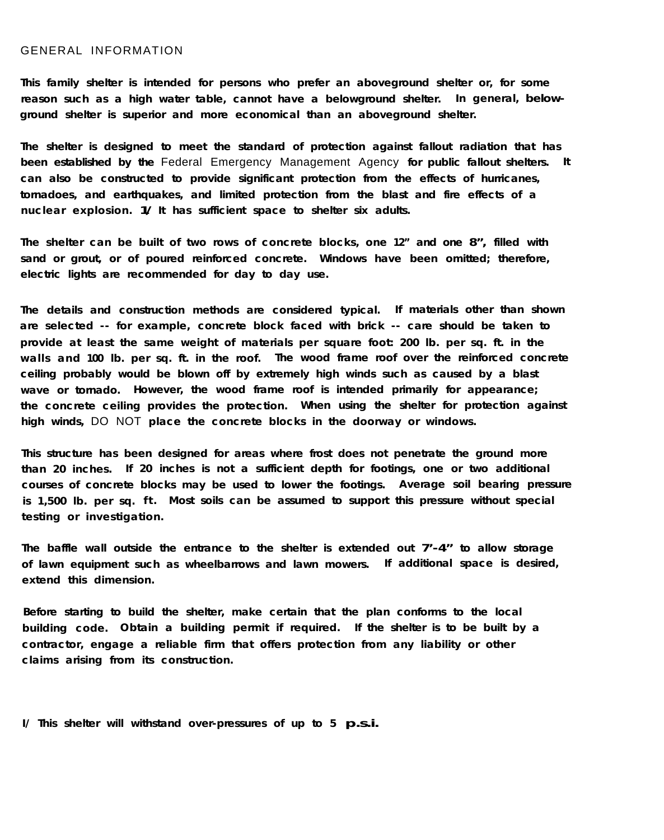### GENERAL INFORMATION

**This family shelter is intended for persons who prefer an aboveground shelter or, for some reason such as a high water table, cannot have a belowground shelter. In general, belowground shelter is superior and more economical than an aboveground shelter.**

**The shelter is designed to meet the standard of protection against fallout radiation that has been established by the** Federal Emergency Management Agency **for public fallout shelters. It can also be constructed to provide significant protection from the effects of hurricanes, tornadoes, and earthquakes, and limited protection from the blast and fire effects of a nuclear explosion. 1/ It has sufficient space to shelter six adults.**

**The shelter can be built of two rows of concrete blocks, one 12" and one 8", filled with sand or grout, or of poured reinforced concrete. Windows have been omitted; therefore, electric lights are recommended for day to day use.**

**The details and construction methods are considered typical. If materials other than shown are selected -- for example, concrete block faced with brick -- care should be taken to provide at least the same weight of materials per square foot: 200 lb. per sq. ft. in the walls and 100 lb. per sq. ft. in the roof. The wood frame roof over the reinforced concrete ceiling probably would be blown off by extremely high winds such as caused by a blast wave or tornado. However, the wood frame roof is intended primarily for appearance; the concrete ceiling provides the protection. When using the shelter for protection against high winds,** DO NOT **place the concrete blocks in the doorway or windows.**

**This structure has been designed for areas where frost does not penetrate the ground more than 20 inches. If 20 inches is not a sufficient depth for footings, one or two additional courses of concrete blocks may be used to lower the footings. Average soil bearing pressure is 1,500 lb. per sq. ft. Most soils can be assumed to support this pressure without special testing or investigation.**

**The baffle wall outside the entrance to the shelter is extended out 7'-4" to allow storage of lawn equipment such as wheelbarrows and lawn mowers. If additional space is desired, extend this dimension.**

**Before starting to build the shelter, make certain that the plan conforms to the local building code. Obtain a building permit if required. If the shelter is to be built by a contractor, engage a reliable firm that offers protection from any liability or other claims arising from its construction.**

**I/ This shelter will withstand over-pressures of up to 5 p.s.i.**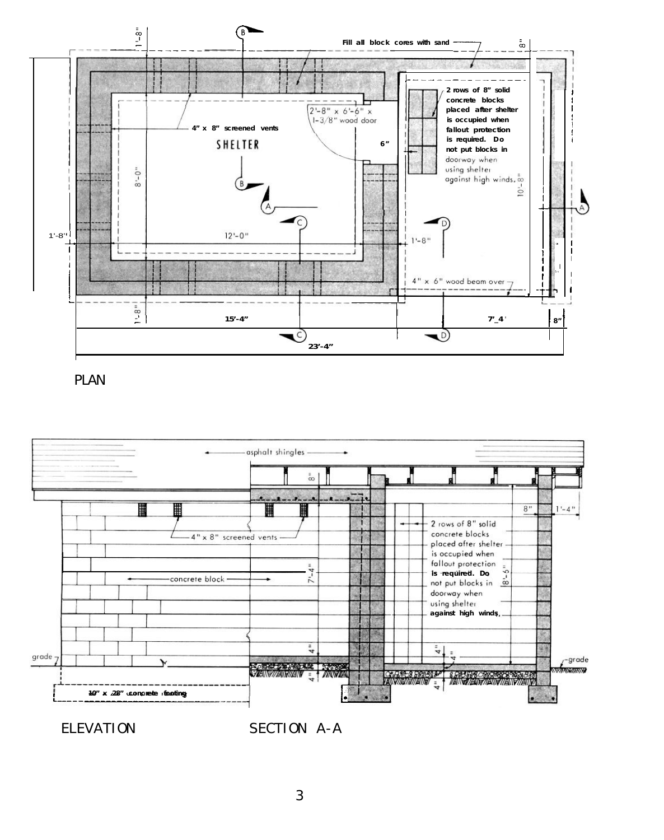

PLAN



ELEVATION SECTION A-A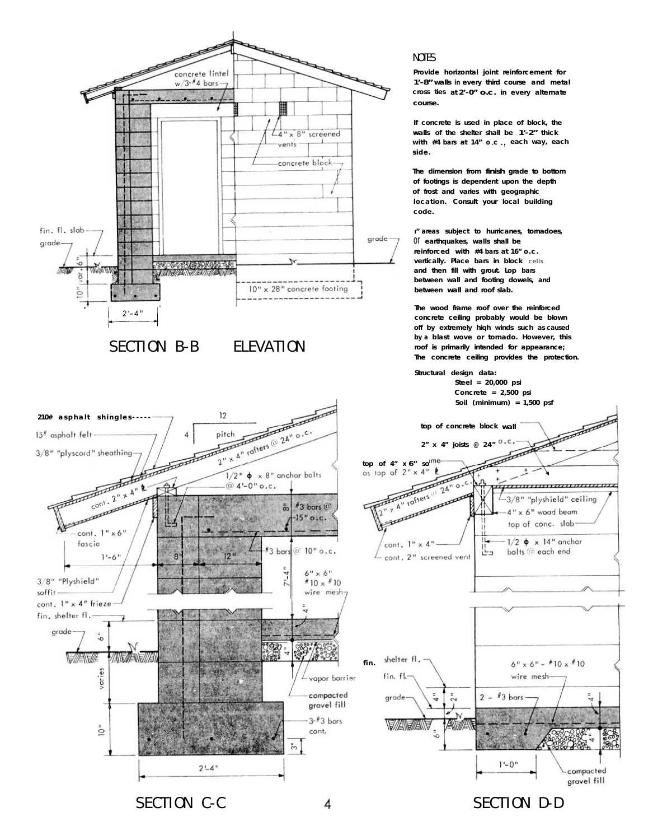

SECTION D-D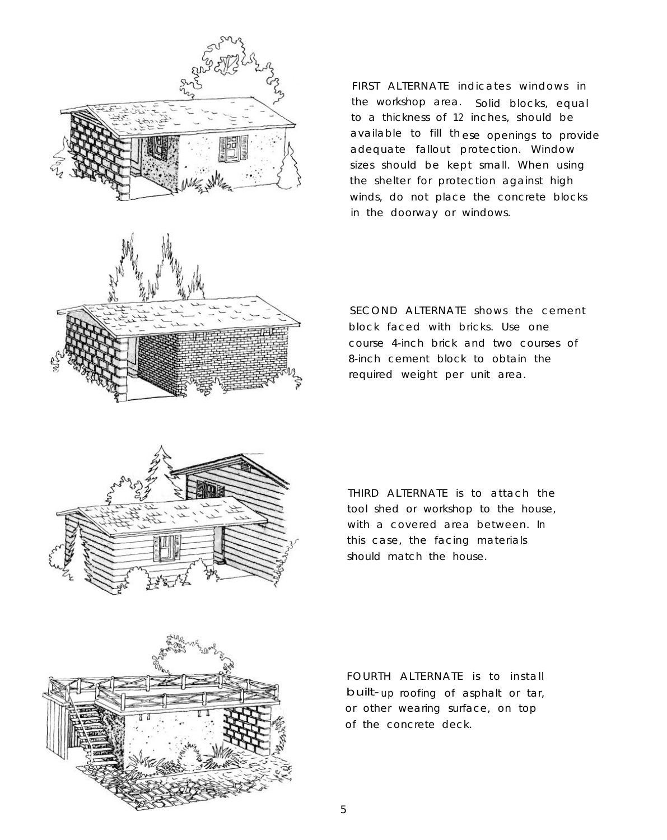

FIRST ALTERNATE indicates windows in the workshop area. Solid blocks, equal to a thickness of 12 inches, should be available to fill th ese openings to provide adequate fallout protection. Window sizes should be kept small. When using the shelter for protection against high winds, do not place the concrete blocks in the doorway or windows.

SECOND ALTERNATE shows the cement block faced with bricks. Use one course 4-inch brick and two courses of 8-inch cement block to obtain the required weight per unit area.



THIRD ALTERNATE is to attach the tool shed or workshop to the house, with a covered area between. In this case, the facing materials should match the house.



FOURTH ALTERNATE is to install built- up roofing of asphalt or tar, or other wearing surface, on top of the concrete deck.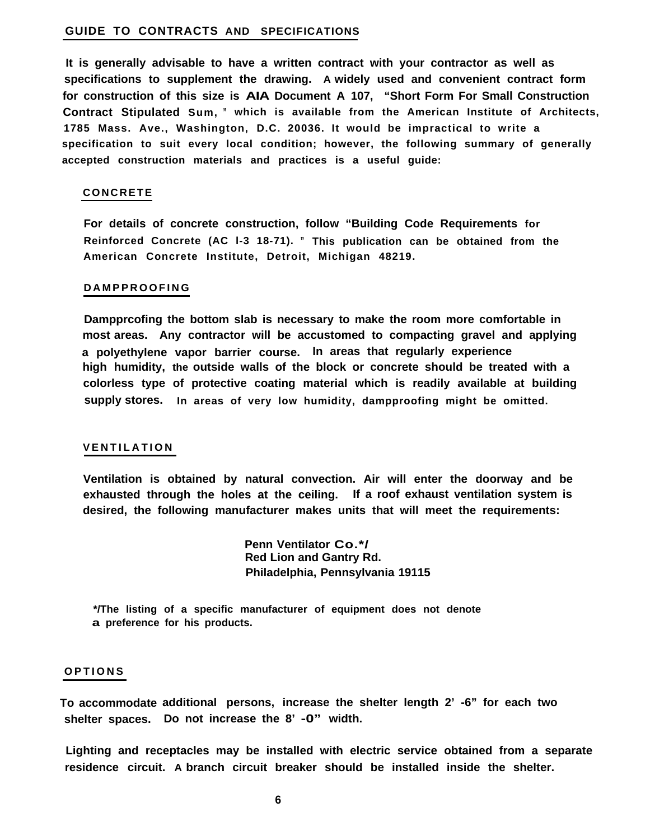#### **GUIDE TO CONTRACTS AND SPECIFICATIONS**

**It is generally advisable to have a written contract with your contractor as well as specifications to supplement the drawing. A widely used and convenient contract form for construction of this size is AIA Document A 107, "Short Form For Small Construction Contract Stipulated Sum, " which is available from the American Institute of Architects, 1785 Mass. Ave., Washington, D.C. 20036. It would be impractical to write a specification to suit every local condition; however, the following summary of generally accepted construction materials and practices is a useful guide:**

#### **CONCRETE**

**For details of concrete construction, follow "Building Code Requirements for Reinforced Concrete (AC l-3 18-71). " This publication can be obtained from the American Concrete Institute, Detroit, Michigan 48219.**

#### **DAMPPROOFING**

**Dampprcofing the bottom slab is necessary to make the room more comfortable in most areas. Any contractor will be accustomed to compacting gravel and applying a polyethylene vapor barrier course. In areas that regularly experience high humidity, the outside walls of the block or concrete should be treated with a colorless type of protective coating material which is readily available at building supply stores. In areas of very low humidity, dampproofing might be omitted.**

#### **VENTILATION**

**Ventilation is obtained by natural convection. Air will enter the doorway and be exhausted through the holes at the ceiling. If a roof exhaust ventilation system is desired, the following manufacturer makes units that will meet the requirements:**

> **Penn Ventilator Co.\*/ Red Lion and Gantry Rd. Philadelphia, Pennsylvania 19115**

**\*/The listing of a specific manufacturer of equipment does not denote a preference for his products.**

#### **OPTIONS**

**To accommodate additional persons, increase the shelter length 2' -6" for each two shelter spaces. Do not increase the 8' -0" width.**

**Lighting and receptacles may be installed with electric service obtained from a separate residence circuit. A branch circuit breaker should be installed inside the shelter.**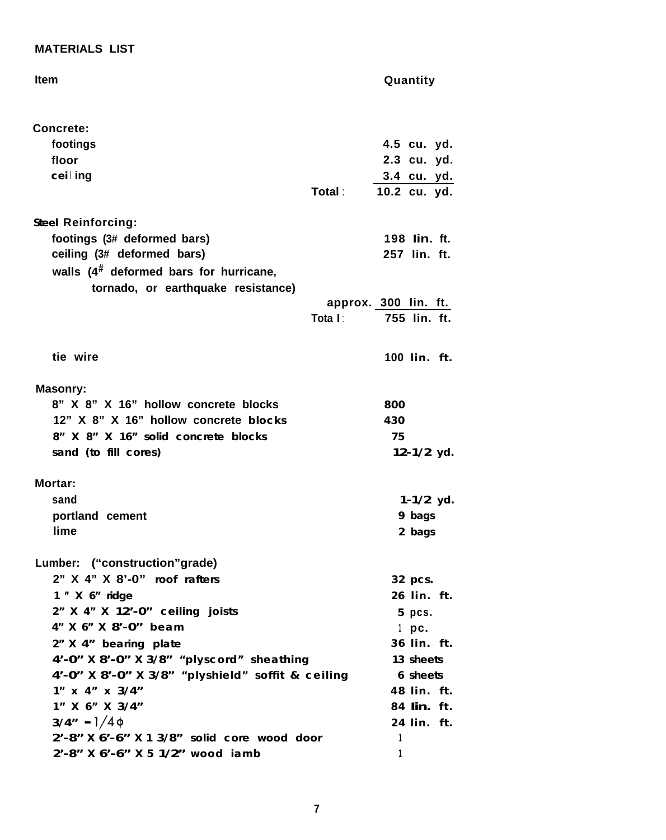## **MATERIALS LIST**

| <b>Item</b>                                       |         | Quantity             |
|---------------------------------------------------|---------|----------------------|
| <b>Concrete:</b>                                  |         |                      |
| footings                                          |         | 4.5 cu. yd.          |
| floor                                             |         | 2.3 cu. yd.          |
| cei   ing                                         |         | 3.4 cu. yd.          |
|                                                   | Total : | 10.2 cu. yd.         |
| <b>Steel Reinforcing:</b>                         |         |                      |
| footings (3# deformed bars)                       |         | 198 lin. ft.         |
| ceiling (3# deformed bars)                        |         | 257 lin. ft.         |
| walls $(4^{\#}$ deformed bars for hurricane,      |         |                      |
| tornado, or earthquake resistance)                |         |                      |
|                                                   |         | approx. 300 lin. ft. |
|                                                   | Tota I: | 755 lin. ft.         |
| tie wire                                          |         | 100 lin. ft.         |
| <b>Masonry:</b>                                   |         |                      |
| 8" X 8" X 16" hollow concrete blocks              |         | 800                  |
| 12" X 8" X 16" hollow concrete blocks             |         | 430                  |
| 8" X 8" X 16" solid concrete blocks               |         | 75                   |
| sand (to fill cores)                              |         | $12-1/2$ yd.         |
| <b>Mortar:</b>                                    |         |                      |
| sand                                              |         | $1-1/2$ yd.          |
| portland cement                                   |         | 9 bags               |
| lime                                              |         | 2 bags               |
| Lumber: ("construction"grade)                     |         |                      |
| 2" X 4" X 8'-0" roof rafters                      |         | 32 pcs.              |
| 1 " X 6" ridge                                    |         | 26 lin. ft.          |
| 2" X 4" X 12'-0" ceiling joists                   |         | 5 pcs.               |
| 4" X 6" X 8'-0" beam                              |         | $1$ pc.              |
| 2" X 4" bearing plate                             |         | 36 lin. ft.          |
| 4'-0" X 8'-0" X 3/8" "plyscord" sheathing         |         | 13 sheets            |
| 4'-0" X 8'-0" X 3/8" "plyshield" soffit & ceiling |         | 6 sheets             |
| $1''$ x $4''$ x $3/4''$                           |         | 48 lin. ft.          |
| 1" X 6" X 3/4"                                    |         | 84 lin. ft.          |
| $3/4'' - 1/4\phi$                                 |         | 24 lin. ft.          |
| 2'-8" X 6'-6" X 1 3/8" solid core wood door       |         | $\overline{1}$       |
| 2'-8" X 6'-6" X 5 1/2" wood iamb                  |         | 1                    |